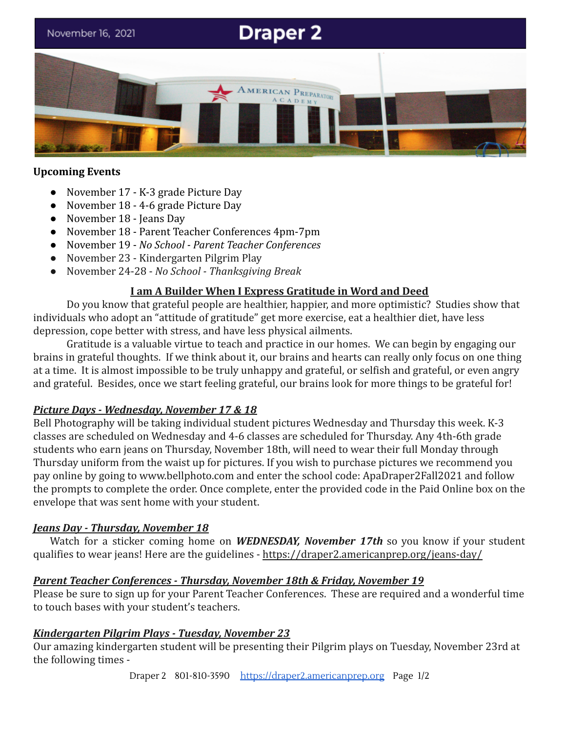# **Draper 2**

November 16, 2021



#### **Upcoming Events**

- November 17 K-3 grade Picture Day
- November 18 4-6 grade Picture Day
- November 18 Jeans Day
- November 18 Parent Teacher Conferences 4pm-7pm
- November 19 *No School Parent Teacher Conferences*
- *●* November 23 Kindergarten Pilgrim Play
- November 24-28 *No School Thanksgiving Break*

## **I am A Builder When I Express Gratitude in Word and Deed**

Do you know that grateful people are healthier, happier, and more optimistic? Studies show that individuals who adopt an "attitude of gratitude" get more exercise, eat a healthier diet, have less depression, cope better with stress, and have less physical ailments.

Gratitude is a valuable virtue to teach and practice in our homes. We can begin by engaging our brains in grateful thoughts. If we think about it, our brains and hearts can really only focus on one thing at a time. It is almost impossible to be truly unhappy and grateful, or selfish and grateful, or even angry and grateful. Besides, once we start feeling grateful, our brains look for more things to be grateful for!

## *Picture Days - Wednesday, November 17 & 18*

Bell Photography will be taking individual student pictures Wednesday and Thursday this week. K-3 classes are scheduled on Wednesday and 4-6 classes are scheduled for Thursday. Any 4th-6th grade students who earn jeans on Thursday, November 18th, will need to wear their full Monday through Thursday uniform from the waist up for pictures. If you wish to purchase pictures we recommend you pay online by going to [www.bellphoto.com](http://www.bellphoto.com) and enter the school code: ApaDraper2Fall2021 and follow the prompts to complete the order. Once complete, enter the provided code in the Paid Online box on the envelope that was sent home with your student.

## *Jeans Day - Thursday, November 18*

Watch for a sticker coming home on *WEDNESDAY, November 17th* so you know if your student qualifies to wear jeans! Here are the guidelines - <https://draper2.americanprep.org/jeans-day/>

## *Parent Teacher Conferences - Thursday, November 18th & Friday, November 19*

Please be sure to sign up for your Parent Teacher Conferences. These are required and a wonderful time to touch bases with your student's teachers.

## *Kindergarten Pilgrim Plays - Tuesday, November 23*

Our amazing kindergarten student will be presenting their Pilgrim plays on Tuesday, November 23rd at the following times -